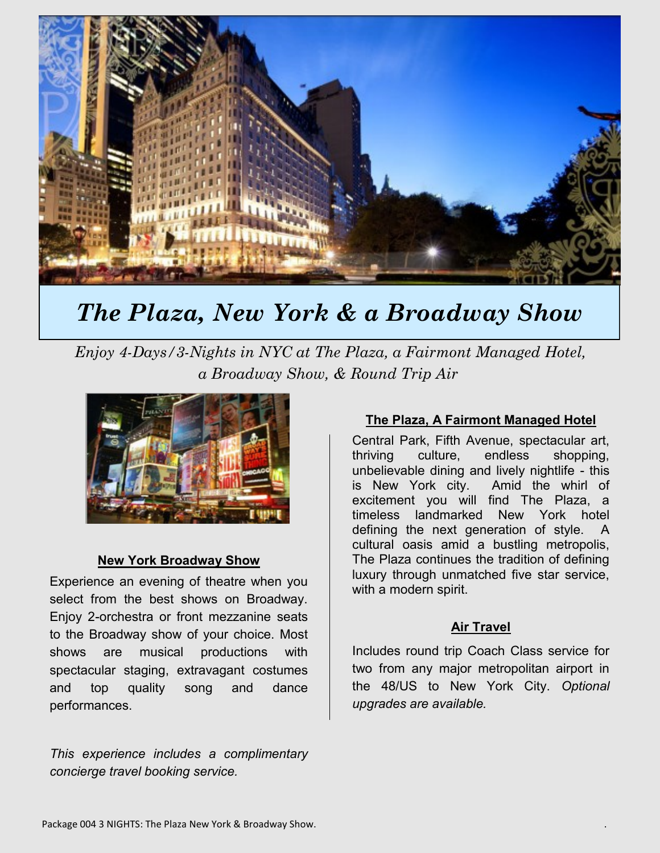

# *The Plaza, New York & a Broadway Show*

*Enjoy 4-Days/3-Nights in NYC at The Plaza, a Fairmont Managed Hotel, a Broadway Show, & Round Trip Air*



#### **New York Broadway Show**

Experience an evening of theatre when you select from the best shows on Broadway. Enjoy 2-orchestra or front mezzanine seats to the Broadway show of your choice. Most shows are musical productions with spectacular staging, extravagant costumes and top quality song and dance performances.

*This experience includes a complimentary concierge travel booking service.*

### **The Plaza, A Fairmont Managed Hotel**

Central Park, Fifth Avenue, spectacular art, thriving culture, endless shopping, unbelievable dining and lively nightlife - this is New York city. Amid the whirl of excitement you will find The Plaza, a timeless landmarked New York hotel defining the next generation of style. A cultural oasis amid a bustling metropolis, The Plaza continues the tradition of defining luxury through unmatched five star service, with a modern spirit.

#### **Air Travel**

Includes round trip Coach Class service for two from any major metropolitan airport in the 48/US to New York City. *Optional upgrades are available.*